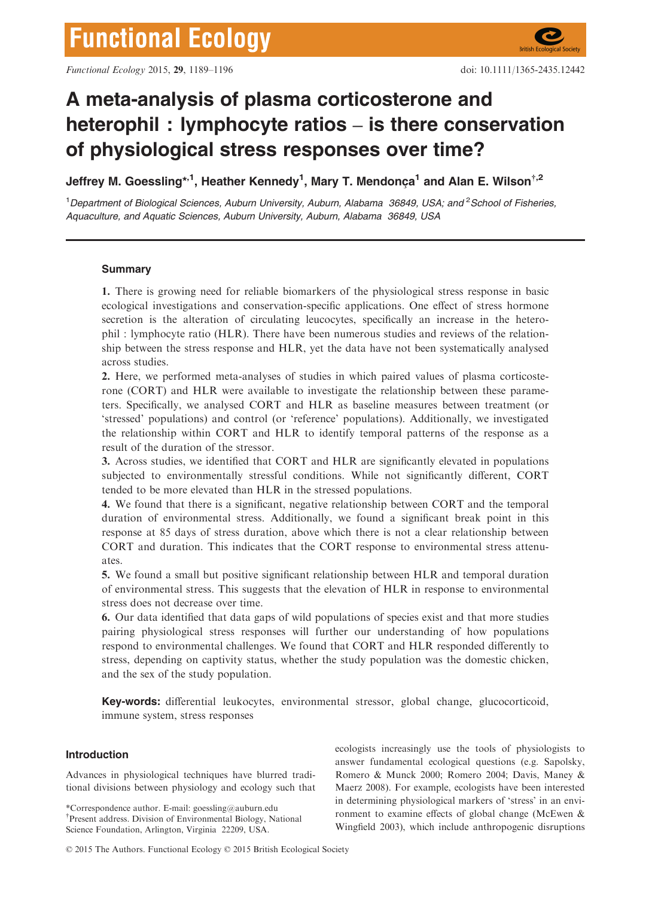# A meta-analysis of plasma corticosterone and heterophil : lymphocyte ratios – is there conservation of physiological stress responses over time?

Jeffrey M. Goessling\*<sup>,1</sup>, Heather Kennedy<sup>1</sup>, Mary T. Mendonça<sup>1</sup> and Alan E. Wilson<sup>†,2</sup>

<sup>1</sup>Department of Biological Sciences, Auburn University, Auburn, Alabama 36849, USA; and <sup>2</sup>School of Fisheries, Aquaculture, and Aquatic Sciences, Auburn University, Auburn, Alabama 36849, USA

# **Summary**

1. There is growing need for reliable biomarkers of the physiological stress response in basic ecological investigations and conservation-specific applications. One effect of stress hormone secretion is the alteration of circulating leucocytes, specifically an increase in the heterophil : lymphocyte ratio (HLR). There have been numerous studies and reviews of the relationship between the stress response and HLR, yet the data have not been systematically analysed across studies.

2. Here, we performed meta-analyses of studies in which paired values of plasma corticosterone (CORT) and HLR were available to investigate the relationship between these parameters. Specifically, we analysed CORT and HLR as baseline measures between treatment (or 'stressed' populations) and control (or 'reference' populations). Additionally, we investigated the relationship within CORT and HLR to identify temporal patterns of the response as a result of the duration of the stressor.

3. Across studies, we identified that CORT and HLR are significantly elevated in populations subjected to environmentally stressful conditions. While not significantly different, CORT tended to be more elevated than HLR in the stressed populations.

4. We found that there is a significant, negative relationship between CORT and the temporal duration of environmental stress. Additionally, we found a significant break point in this response at 85 days of stress duration, above which there is not a clear relationship between CORT and duration. This indicates that the CORT response to environmental stress attenuates.

5. We found a small but positive significant relationship between HLR and temporal duration of environmental stress. This suggests that the elevation of HLR in response to environmental stress does not decrease over time.

6. Our data identified that data gaps of wild populations of species exist and that more studies pairing physiological stress responses will further our understanding of how populations respond to environmental challenges. We found that CORT and HLR responded differently to stress, depending on captivity status, whether the study population was the domestic chicken, and the sex of the study population.

Key-words: differential leukocytes, environmental stressor, global change, glucocorticoid, immune system, stress responses

## Introduction

Advances in physiological techniques have blurred traditional divisions between physiology and ecology such that

\*Correspondence author. E-mail: goessling@auburn.edu † Present address. Division of Environmental Biology, National Science Foundation, Arlington, Virginia 22209, USA.

ecologists increasingly use the tools of physiologists to answer fundamental ecological questions (e.g. Sapolsky, Romero & Munck 2000; Romero 2004; Davis, Maney & Maerz 2008). For example, ecologists have been interested in determining physiological markers of 'stress' in an environment to examine effects of global change (McEwen & Wingfield 2003), which include anthropogenic disruptions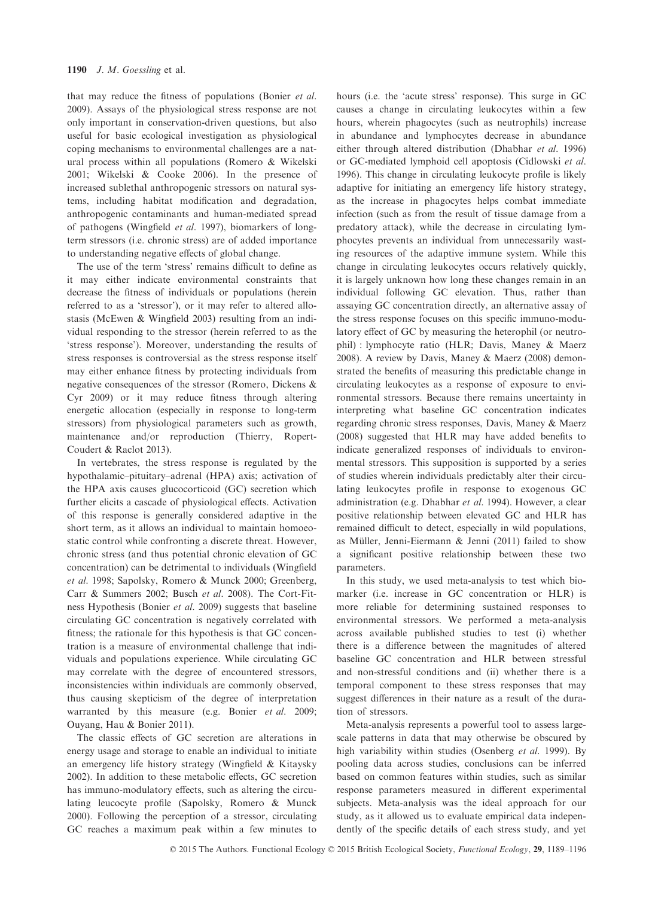that may reduce the fitness of populations (Bonier et al. 2009). Assays of the physiological stress response are not only important in conservation-driven questions, but also useful for basic ecological investigation as physiological coping mechanisms to environmental challenges are a natural process within all populations (Romero & Wikelski 2001; Wikelski & Cooke 2006). In the presence of increased sublethal anthropogenic stressors on natural systems, including habitat modification and degradation, anthropogenic contaminants and human-mediated spread of pathogens (Wingfield et al. 1997), biomarkers of longterm stressors (i.e. chronic stress) are of added importance to understanding negative effects of global change.

The use of the term 'stress' remains difficult to define as it may either indicate environmental constraints that decrease the fitness of individuals or populations (herein referred to as a 'stressor'), or it may refer to altered allostasis (McEwen & Wingfield 2003) resulting from an individual responding to the stressor (herein referred to as the 'stress response'). Moreover, understanding the results of stress responses is controversial as the stress response itself may either enhance fitness by protecting individuals from negative consequences of the stressor (Romero, Dickens & Cyr 2009) or it may reduce fitness through altering energetic allocation (especially in response to long-term stressors) from physiological parameters such as growth, maintenance and/or reproduction (Thierry, Ropert-Coudert & Raclot 2013).

In vertebrates, the stress response is regulated by the hypothalamic–pituitary–adrenal (HPA) axis; activation of the HPA axis causes glucocorticoid (GC) secretion which further elicits a cascade of physiological effects. Activation of this response is generally considered adaptive in the short term, as it allows an individual to maintain homoeostatic control while confronting a discrete threat. However, chronic stress (and thus potential chronic elevation of GC concentration) can be detrimental to individuals (Wingfield et al. 1998; Sapolsky, Romero & Munck 2000; Greenberg, Carr & Summers 2002; Busch et al. 2008). The Cort-Fitness Hypothesis (Bonier et al. 2009) suggests that baseline circulating GC concentration is negatively correlated with fitness; the rationale for this hypothesis is that GC concentration is a measure of environmental challenge that individuals and populations experience. While circulating GC may correlate with the degree of encountered stressors, inconsistencies within individuals are commonly observed, thus causing skepticism of the degree of interpretation warranted by this measure (e.g. Bonier et al. 2009; Ouyang, Hau & Bonier 2011).

The classic effects of GC secretion are alterations in energy usage and storage to enable an individual to initiate an emergency life history strategy (Wingfield & Kitaysky 2002). In addition to these metabolic effects, GC secretion has immuno-modulatory effects, such as altering the circulating leucocyte profile (Sapolsky, Romero & Munck 2000). Following the perception of a stressor, circulating GC reaches a maximum peak within a few minutes to hours (i.e. the 'acute stress' response). This surge in GC causes a change in circulating leukocytes within a few hours, wherein phagocytes (such as neutrophils) increase in abundance and lymphocytes decrease in abundance either through altered distribution (Dhabhar et al. 1996) or GC-mediated lymphoid cell apoptosis (Cidlowski et al. 1996). This change in circulating leukocyte profile is likely adaptive for initiating an emergency life history strategy, as the increase in phagocytes helps combat immediate infection (such as from the result of tissue damage from a predatory attack), while the decrease in circulating lymphocytes prevents an individual from unnecessarily wasting resources of the adaptive immune system. While this change in circulating leukocytes occurs relatively quickly, it is largely unknown how long these changes remain in an individual following GC elevation. Thus, rather than assaying GC concentration directly, an alternative assay of the stress response focuses on this specific immuno-modulatory effect of GC by measuring the heterophil (or neutrophil) : lymphocyte ratio (HLR; Davis, Maney & Maerz 2008). A review by Davis, Maney & Maerz (2008) demonstrated the benefits of measuring this predictable change in circulating leukocytes as a response of exposure to environmental stressors. Because there remains uncertainty in interpreting what baseline GC concentration indicates regarding chronic stress responses, Davis, Maney & Maerz (2008) suggested that HLR may have added benefits to indicate generalized responses of individuals to environmental stressors. This supposition is supported by a series of studies wherein individuals predictably alter their circulating leukocytes profile in response to exogenous GC administration (e.g. Dhabhar et al. 1994). However, a clear positive relationship between elevated GC and HLR has remained difficult to detect, especially in wild populations, as Müller, Jenni-Eiermann & Jenni (2011) failed to show a significant positive relationship between these two parameters.

In this study, we used meta-analysis to test which biomarker (i.e. increase in GC concentration or HLR) is more reliable for determining sustained responses to environmental stressors. We performed a meta-analysis across available published studies to test (i) whether there is a difference between the magnitudes of altered baseline GC concentration and HLR between stressful and non-stressful conditions and (ii) whether there is a temporal component to these stress responses that may suggest differences in their nature as a result of the duration of stressors.

Meta-analysis represents a powerful tool to assess largescale patterns in data that may otherwise be obscured by high variability within studies (Osenberg et al. 1999). By pooling data across studies, conclusions can be inferred based on common features within studies, such as similar response parameters measured in different experimental subjects. Meta-analysis was the ideal approach for our study, as it allowed us to evaluate empirical data independently of the specific details of each stress study, and yet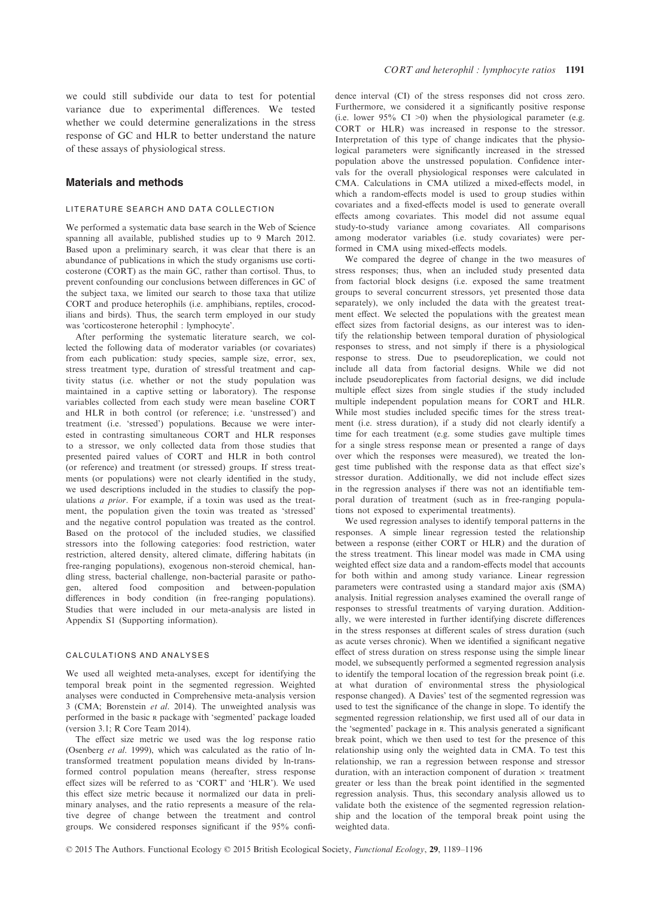we could still subdivide our data to test for potential variance due to experimental differences. We tested whether we could determine generalizations in the stress response of GC and HLR to better understand the nature of these assays of physiological stress.

## Materials and methods

#### LITERATURE SEARCH AND DATA COLLECTION

We performed a systematic data base search in the Web of Science spanning all available, published studies up to 9 March 2012. Based upon a preliminary search, it was clear that there is an abundance of publications in which the study organisms use corticosterone (CORT) as the main GC, rather than cortisol. Thus, to prevent confounding our conclusions between differences in GC of the subject taxa, we limited our search to those taxa that utilize CORT and produce heterophils (i.e. amphibians, reptiles, crocodilians and birds). Thus, the search term employed in our study was 'corticosterone heterophil : lymphocyte'.

After performing the systematic literature search, we collected the following data of moderator variables (or covariates) from each publication: study species, sample size, error, sex, stress treatment type, duration of stressful treatment and captivity status (i.e. whether or not the study population was maintained in a captive setting or laboratory). The response variables collected from each study were mean baseline CORT and HLR in both control (or reference; i.e. 'unstressed') and treatment (i.e. 'stressed') populations. Because we were interested in contrasting simultaneous CORT and HLR responses to a stressor, we only collected data from those studies that presented paired values of CORT and HLR in both control (or reference) and treatment (or stressed) groups. If stress treatments (or populations) were not clearly identified in the study, we used descriptions included in the studies to classify the populations a prior. For example, if a toxin was used as the treatment, the population given the toxin was treated as 'stressed' and the negative control population was treated as the control. Based on the protocol of the included studies, we classified stressors into the following categories: food restriction, water restriction, altered density, altered climate, differing habitats (in free-ranging populations), exogenous non-steroid chemical, handling stress, bacterial challenge, non-bacterial parasite or pathogen, altered food composition and between-population differences in body condition (in free-ranging populations). Studies that were included in our meta-analysis are listed in Appendix S1 (Supporting information).

#### CALCULATIONS AND ANALYSES

We used all weighted meta-analyses, except for identifying the temporal break point in the segmented regression. Weighted analyses were conducted in Comprehensive meta-analysis version 3 (CMA; Borenstein et al. 2014). The unweighted analysis was performed in the basic <sup>R</sup> package with 'segmented' package loaded (version 3.1; R Core Team 2014).

The effect size metric we used was the log response ratio (Osenberg et al. 1999), which was calculated as the ratio of lntransformed treatment population means divided by ln-transformed control population means (hereafter, stress response effect sizes will be referred to as 'CORT' and 'HLR'). We used this effect size metric because it normalized our data in preliminary analyses, and the ratio represents a measure of the relative degree of change between the treatment and control groups. We considered responses significant if the 95% confidence interval (CI) of the stress responses did not cross zero. Furthermore, we considered it a significantly positive response (i.e. lower  $95\%$  CI >0) when the physiological parameter (e.g. CORT or HLR) was increased in response to the stressor. Interpretation of this type of change indicates that the physiological parameters were significantly increased in the stressed population above the unstressed population. Confidence intervals for the overall physiological responses were calculated in CMA. Calculations in CMA utilized a mixed-effects model, in which a random-effects model is used to group studies within covariates and a fixed-effects model is used to generate overall effects among covariates. This model did not assume equal study-to-study variance among covariates. All comparisons among moderator variables (i.e. study covariates) were performed in CMA using mixed-effects models.

We compared the degree of change in the two measures of stress responses; thus, when an included study presented data from factorial block designs (i.e. exposed the same treatment groups to several concurrent stressors, yet presented those data separately), we only included the data with the greatest treatment effect. We selected the populations with the greatest mean effect sizes from factorial designs, as our interest was to identify the relationship between temporal duration of physiological responses to stress, and not simply if there is a physiological response to stress. Due to pseudoreplication, we could not include all data from factorial designs. While we did not include pseudoreplicates from factorial designs, we did include multiple effect sizes from single studies if the study included multiple independent population means for CORT and HLR. While most studies included specific times for the stress treatment (i.e. stress duration), if a study did not clearly identify a time for each treatment (e.g. some studies gave multiple times for a single stress response mean or presented a range of days over which the responses were measured), we treated the longest time published with the response data as that effect size's stressor duration. Additionally, we did not include effect sizes in the regression analyses if there was not an identifiable temporal duration of treatment (such as in free-ranging populations not exposed to experimental treatments).

We used regression analyses to identify temporal patterns in the responses. A simple linear regression tested the relationship between a response (either CORT or HLR) and the duration of the stress treatment. This linear model was made in CMA using weighted effect size data and a random-effects model that accounts for both within and among study variance. Linear regression parameters were contrasted using a standard major axis (SMA) analysis. Initial regression analyses examined the overall range of responses to stressful treatments of varying duration. Additionally, we were interested in further identifying discrete differences in the stress responses at different scales of stress duration (such as acute verses chronic). When we identified a significant negative effect of stress duration on stress response using the simple linear model, we subsequently performed a segmented regression analysis to identify the temporal location of the regression break point (i.e. at what duration of environmental stress the physiological response changed). A Davies' test of the segmented regression was used to test the significance of the change in slope. To identify the segmented regression relationship, we first used all of our data in the 'segmented' package in R. This analysis generated a significant break point, which we then used to test for the presence of this relationship using only the weighted data in CMA. To test this relationship, we ran a regression between response and stressor duration, with an interaction component of duration  $\times$  treatment greater or less than the break point identified in the segmented regression analysis. Thus, this secondary analysis allowed us to validate both the existence of the segmented regression relationship and the location of the temporal break point using the weighted data.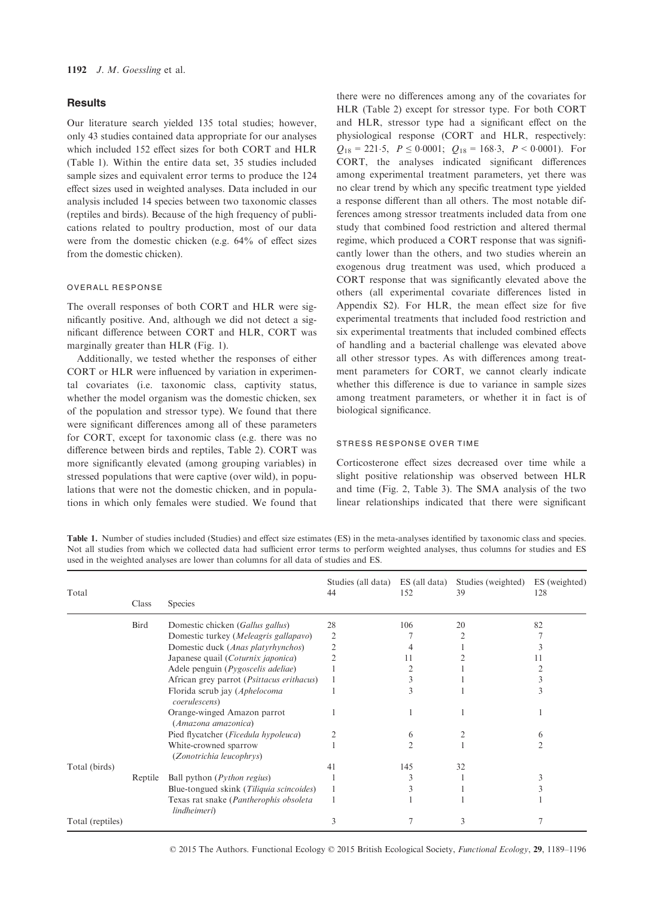# **Results**

Our literature search yielded 135 total studies; however, only 43 studies contained data appropriate for our analyses which included 152 effect sizes for both CORT and HLR (Table 1). Within the entire data set, 35 studies included sample sizes and equivalent error terms to produce the 124 effect sizes used in weighted analyses. Data included in our analysis included 14 species between two taxonomic classes (reptiles and birds). Because of the high frequency of publications related to poultry production, most of our data were from the domestic chicken (e.g. 64% of effect sizes from the domestic chicken).

#### OVERALL RESPONSE

The overall responses of both CORT and HLR were significantly positive. And, although we did not detect a significant difference between CORT and HLR, CORT was marginally greater than HLR (Fig. 1).

Additionally, we tested whether the responses of either CORT or HLR were influenced by variation in experimental covariates (i.e. taxonomic class, captivity status, whether the model organism was the domestic chicken, sex of the population and stressor type). We found that there were significant differences among all of these parameters for CORT, except for taxonomic class (e.g. there was no difference between birds and reptiles, Table 2). CORT was more significantly elevated (among grouping variables) in stressed populations that were captive (over wild), in populations that were not the domestic chicken, and in populations in which only females were studied. We found that there were no differences among any of the covariates for HLR (Table 2) except for stressor type. For both CORT and HLR, stressor type had a significant effect on the physiological response (CORT and HLR, respectively:  $Q_{18} = 221.5$ ,  $P \le 0.0001$ ;  $Q_{18} = 168.3$ ,  $P < 0.0001$ ). For CORT, the analyses indicated significant differences among experimental treatment parameters, yet there was no clear trend by which any specific treatment type yielded a response different than all others. The most notable differences among stressor treatments included data from one study that combined food restriction and altered thermal regime, which produced a CORT response that was significantly lower than the others, and two studies wherein an exogenous drug treatment was used, which produced a CORT response that was significantly elevated above the others (all experimental covariate differences listed in Appendix S2). For HLR, the mean effect size for five experimental treatments that included food restriction and six experimental treatments that included combined effects of handling and a bacterial challenge was elevated above all other stressor types. As with differences among treatment parameters for CORT, we cannot clearly indicate whether this difference is due to variance in sample sizes among treatment parameters, or whether it in fact is of biological significance.

## STRESS RESPONSE OVER TIME

Corticosterone effect sizes decreased over time while a slight positive relationship was observed between HLR and time (Fig. 2, Table 3). The SMA analysis of the two linear relationships indicated that there were significant

Table 1. Number of studies included (Studies) and effect size estimates (ES) in the meta-analyses identified by taxonomic class and species. Not all studies from which we collected data had sufficient error terms to perform weighted analyses, thus columns for studies and ES used in the weighted analyses are lower than columns for all data of studies and ES.

| Total            | Class   | <b>Species</b>                                         | Studies (all data)<br>44 | ES (all data)<br>152 | Studies (weighted)<br>39 | ES (weighted)<br>128 |
|------------------|---------|--------------------------------------------------------|--------------------------|----------------------|--------------------------|----------------------|
|                  |         |                                                        |                          |                      |                          |                      |
|                  | Bird    | Domestic chicken (Gallus gallus)                       | 28                       | 106                  | 20                       | 82                   |
|                  |         | Domestic turkey (Meleagris gallapavo)                  | $\overline{2}$           |                      |                          |                      |
|                  |         | Domestic duck (Anas platyrhynchos)                     | $\overline{2}$           |                      |                          |                      |
|                  |         | Japanese quail (Coturnix japonica)                     |                          | 11                   |                          |                      |
|                  |         | Adele penguin ( <i>Pygoscelis adeliae</i> )            |                          |                      |                          |                      |
|                  |         | African grey parrot ( <i>Psittacus erithacus</i> )     |                          |                      |                          |                      |
|                  |         | Florida scrub jay (Aphelocoma<br>coerulescens)         |                          |                      |                          |                      |
|                  |         | Orange-winged Amazon parrot<br>(Amazona amazonica)     |                          |                      |                          |                      |
|                  |         | Pied flycatcher (Ficedula hypoleuca)                   |                          | 6                    |                          | <sub>(</sub>         |
|                  |         | White-crowned sparrow<br>(Zonotrichia leucophrys)      |                          |                      |                          |                      |
| Total (birds)    |         |                                                        | 41                       | 145                  | 32                       |                      |
|                  | Reptile | Ball python ( <i>Python regius</i> )                   |                          |                      |                          |                      |
|                  |         | Blue-tongued skink (Tiliquia scincoides)               |                          |                      |                          |                      |
|                  |         | Texas rat snake (Pantherophis obsoleta<br>lindheimeri) |                          |                      |                          |                      |
| Total (reptiles) |         |                                                        |                          |                      |                          |                      |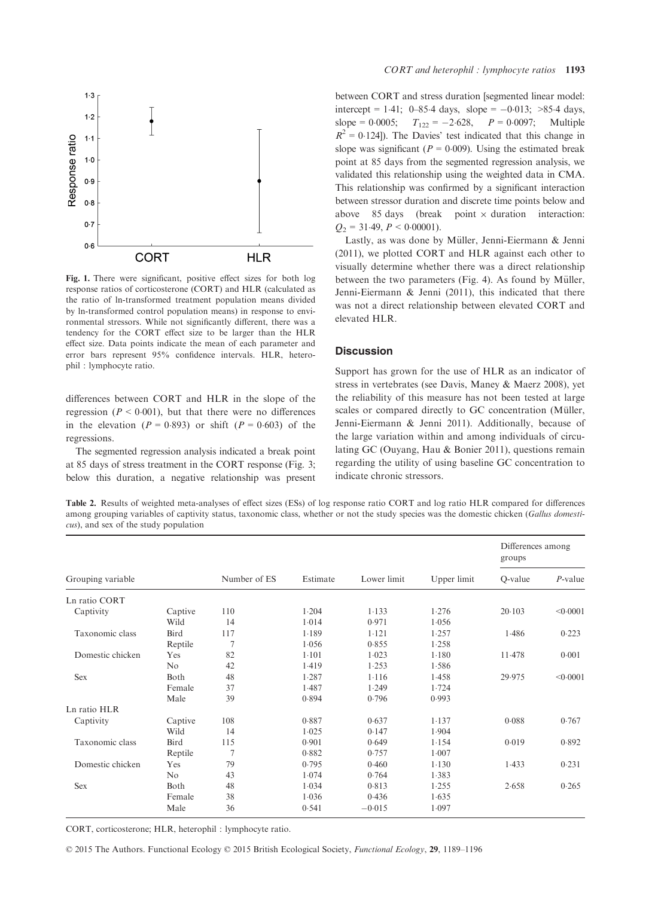

Fig. 1. There were significant, positive effect sizes for both log response ratios of corticosterone (CORT) and HLR (calculated as the ratio of ln-transformed treatment population means divided by ln-transformed control population means) in response to environmental stressors. While not significantly different, there was a tendency for the CORT effect size to be larger than the HLR effect size. Data points indicate the mean of each parameter and error bars represent 95% confidence intervals. HLR, heterophil : lymphocyte ratio.

differences between CORT and HLR in the slope of the regression ( $P < 0.001$ ), but that there were no differences in the elevation  $(P = 0.893)$  or shift  $(P = 0.603)$  of the regressions.

The segmented regression analysis indicated a break point at 85 days of stress treatment in the CORT response (Fig. 3; below this duration, a negative relationship was present

between CORT and stress duration [segmented linear model: intercept = 1.41; 0–85.4 days, slope = -0.013; >85.4 days,<br>slope = 0.0005;  $T_{122} = -2.628$ ,  $P = 0.0097$ ; Multiple  $P = 0.0097$ ; Multiple  $R^2 = 0.124$ ]). The Davies' test indicated that this change in slope was significant ( $P = 0.009$ ). Using the estimated break point at 85 days from the segmented regression analysis, we validated this relationship using the weighted data in CMA. This relationship was confirmed by a significant interaction between stressor duration and discrete time points below and above 85 days (break point  $\times$  duration interaction:  $Q_2 = 31.49$ ,  $P < 0.00001$ ).

Lastly, as was done by Müller, Jenni-Eiermann & Jenni (2011), we plotted CORT and HLR against each other to visually determine whether there was a direct relationship between the two parameters (Fig. 4). As found by Müller, Jenni-Eiermann & Jenni (2011), this indicated that there was not a direct relationship between elevated CORT and elevated HLR.

# **Discussion**

Support has grown for the use of HLR as an indicator of stress in vertebrates (see Davis, Maney & Maerz 2008), yet the reliability of this measure has not been tested at large scales or compared directly to GC concentration (Müller, Jenni-Eiermann & Jenni 2011). Additionally, because of the large variation within and among individuals of circulating GC (Ouyang, Hau & Bonier 2011), questions remain regarding the utility of using baseline GC concentration to indicate chronic stressors.

Table 2. Results of weighted meta-analyses of effect sizes (ESs) of log response ratio CORT and log ratio HLR compared for differences among grouping variables of captivity status, taxonomic class, whether or not the study species was the domestic chicken (Gallus domesticus), and sex of the study population

|                   |                |                |          |             |             | Differences among<br>groups |            |
|-------------------|----------------|----------------|----------|-------------|-------------|-----------------------------|------------|
| Grouping variable |                | Number of ES   | Estimate | Lower limit | Upper limit | Q-value                     | $P$ -value |
| Ln ratio CORT     |                |                |          |             |             |                             |            |
| Captivity         | Captive        | 110            | 1.204    | 1.133       | 1.276       | 20.103                      | < 0.0001   |
|                   | Wild           | 14             | 1.014    | 0.971       | 1.056       |                             |            |
| Taxonomic class   | Bird           | 117            | 1.189    | 1.121       | 1.257       | 1.486                       | 0.223      |
|                   | Reptile        | $\overline{7}$ | 1.056    | 0.855       | 1.258       |                             |            |
| Domestic chicken  | Yes            | 82             | $1-101$  | 1.023       | 1.180       | 11.478                      | 0.001      |
|                   | N <sub>o</sub> | 42             | 1.419    | 1.253       | 1.586       |                             |            |
| <b>Sex</b>        | Both           | 48             | 1.287    | 1.116       | 1.458       | 29.975                      | < 0.0001   |
|                   | Female         | 37             | 1.487    | 1.249       | 1.724       |                             |            |
|                   | Male           | 39             | 0.894    | 0.796       | 0.993       |                             |            |
| Ln ratio HLR      |                |                |          |             |             |                             |            |
| Captivity         | Captive        | 108            | 0.887    | 0.637       | 1.137       | 0.088                       | 0.767      |
|                   | Wild           | 14             | 1.025    | 0.147       | 1.904       |                             |            |
| Taxonomic class   | Bird           | 115            | 0.901    | 0.649       | 1.154       | 0.019                       | 0.892      |
|                   | Reptile        | 7              | 0.882    | 0.757       | 1.007       |                             |            |
| Domestic chicken  | Yes            | 79             | 0.795    | 0.460       | 1.130       | 1.433                       | 0.231      |
|                   | No             | 43             | 1.074    | 0.764       | 1.383       |                             |            |
| <b>Sex</b>        | Both           | 48             | 1.034    | 0.813       | 1.255       | 2.658                       | 0.265      |
|                   | Female         | 38             | 1.036    | 0.436       | 1.635       |                             |            |
|                   | Male           | 36             | 0.541    | $-0.015$    | 1.097       |                             |            |

CORT, corticosterone; HLR, heterophil : lymphocyte ratio.

© 2015 The Authors. Functional Ecology © 2015 British Ecological Society, Functional Ecology, 29, 1189–1196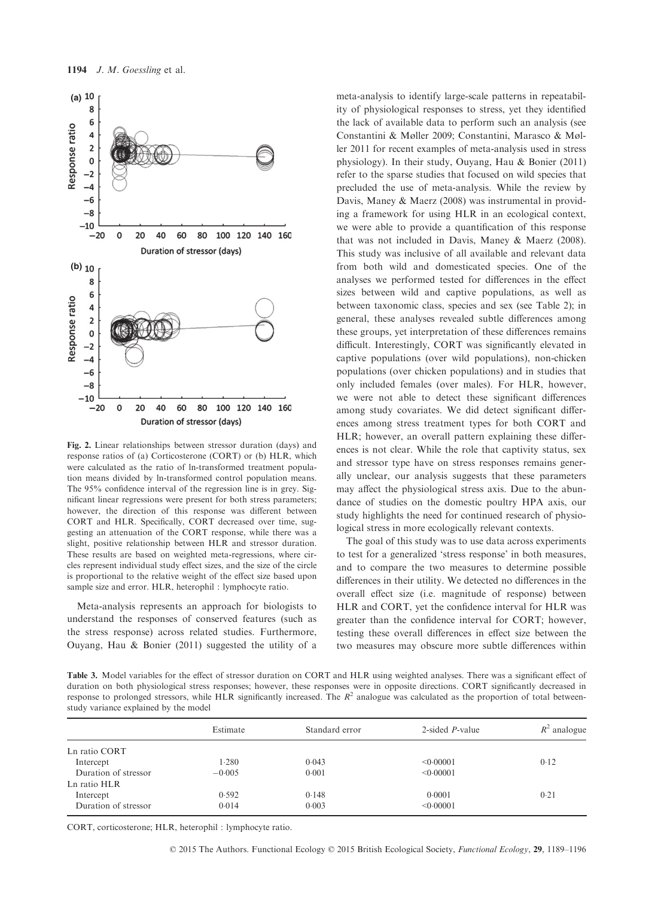

Fig. 2. Linear relationships between stressor duration (days) and response ratios of (a) Corticosterone (CORT) or (b) HLR, which were calculated as the ratio of ln-transformed treatment population means divided by ln-transformed control population means. The 95% confidence interval of the regression line is in grey. Significant linear regressions were present for both stress parameters; however, the direction of this response was different between CORT and HLR. Specifically, CORT decreased over time, suggesting an attenuation of the CORT response, while there was a slight, positive relationship between HLR and stressor duration. These results are based on weighted meta-regressions, where circles represent individual study effect sizes, and the size of the circle is proportional to the relative weight of the effect size based upon sample size and error. HLR, heterophil : lymphocyte ratio.

Meta-analysis represents an approach for biologists to understand the responses of conserved features (such as the stress response) across related studies. Furthermore, Ouyang, Hau & Bonier (2011) suggested the utility of a meta-analysis to identify large-scale patterns in repeatability of physiological responses to stress, yet they identified the lack of available data to perform such an analysis (see Constantini & Møller 2009; Constantini, Marasco & Møller 2011 for recent examples of meta-analysis used in stress physiology). In their study, Ouyang, Hau & Bonier (2011) refer to the sparse studies that focused on wild species that precluded the use of meta-analysis. While the review by Davis, Maney & Maerz (2008) was instrumental in providing a framework for using HLR in an ecological context, we were able to provide a quantification of this response that was not included in Davis, Maney & Maerz (2008). This study was inclusive of all available and relevant data from both wild and domesticated species. One of the analyses we performed tested for differences in the effect sizes between wild and captive populations, as well as between taxonomic class, species and sex (see Table 2); in general, these analyses revealed subtle differences among these groups, yet interpretation of these differences remains difficult. Interestingly, CORT was significantly elevated in captive populations (over wild populations), non-chicken populations (over chicken populations) and in studies that only included females (over males). For HLR, however, we were not able to detect these significant differences among study covariates. We did detect significant differences among stress treatment types for both CORT and HLR; however, an overall pattern explaining these differences is not clear. While the role that captivity status, sex and stressor type have on stress responses remains generally unclear, our analysis suggests that these parameters may affect the physiological stress axis. Due to the abundance of studies on the domestic poultry HPA axis, our study highlights the need for continued research of physiological stress in more ecologically relevant contexts.

The goal of this study was to use data across experiments to test for a generalized 'stress response' in both measures, and to compare the two measures to determine possible differences in their utility. We detected no differences in the overall effect size (i.e. magnitude of response) between HLR and CORT, yet the confidence interval for HLR was greater than the confidence interval for CORT; however, testing these overall differences in effect size between the two measures may obscure more subtle differences within

Table 3. Model variables for the effect of stressor duration on CORT and HLR using weighted analyses. There was a significant effect of duration on both physiological stress responses; however, these responses were in opposite directions. CORT significantly decreased in response to prolonged stressors, while HLR significantly increased. The  $R<sup>2</sup>$  analogue was calculated as the proportion of total betweenstudy variance explained by the model

|                      | Estimate | Standard error | 2-sided $P$ -value | $R^2$ analogue |
|----------------------|----------|----------------|--------------------|----------------|
| Ln ratio CORT        |          |                |                    |                |
| Intercept            | 1.280    | 0.043          | < 0.00001          | 0.12           |
| Duration of stressor | $-0.005$ | 0.001          | < 0.00001          |                |
| Ln ratio HLR         |          |                |                    |                |
| Intercept            | 0.592    | 0.148          | 0.0001             | 0.21           |
| Duration of stressor | 0.014    | 0.003          | < 0.00001          |                |

CORT, corticosterone; HLR, heterophil : lymphocyte ratio.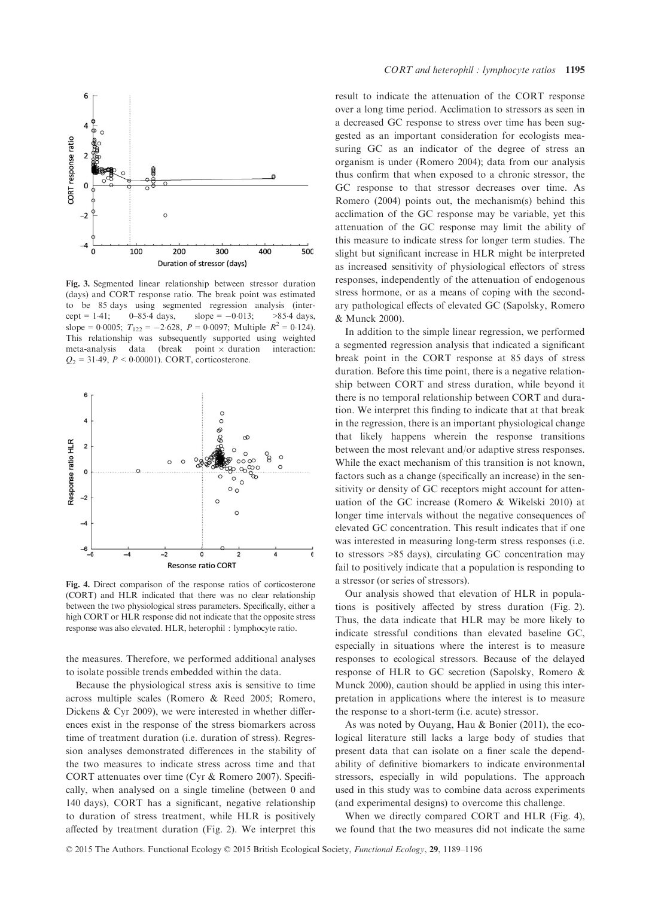

Fig. 3. Segmented linear relationship between stressor duration (days) and CORT response ratio. The break point was estimated to be 85 days using segmented regression analysis (intercept = 1.41; 0–85.4 days, slope = -0.013; >85.4 days, slope = 0.0005;  $T_{122} = -2.628$ ,  $P = 0.0097$ ; Multiple  $R^2 = 0.124$ ). This relationship was subsequently supported using weighted meta-analysis data (break point  $\times$  duration interaction:  $Q_2 = 31.49, P < 0.00001$ ). CORT, corticosterone.



Fig. 4. Direct comparison of the response ratios of corticosterone (CORT) and HLR indicated that there was no clear relationship between the two physiological stress parameters. Specifically, either a high CORT or HLR response did not indicate that the opposite stress response was also elevated. HLR, heterophil : lymphocyte ratio.

the measures. Therefore, we performed additional analyses to isolate possible trends embedded within the data.

Because the physiological stress axis is sensitive to time across multiple scales (Romero & Reed 2005; Romero, Dickens & Cyr 2009), we were interested in whether differences exist in the response of the stress biomarkers across time of treatment duration (i.e. duration of stress). Regression analyses demonstrated differences in the stability of the two measures to indicate stress across time and that CORT attenuates over time (Cyr & Romero 2007). Specifically, when analysed on a single timeline (between 0 and 140 days), CORT has a significant, negative relationship to duration of stress treatment, while HLR is positively affected by treatment duration (Fig. 2). We interpret this

result to indicate the attenuation of the CORT response over a long time period. Acclimation to stressors as seen in a decreased GC response to stress over time has been suggested as an important consideration for ecologists measuring GC as an indicator of the degree of stress an organism is under (Romero 2004); data from our analysis thus confirm that when exposed to a chronic stressor, the GC response to that stressor decreases over time. As Romero (2004) points out, the mechanism(s) behind this acclimation of the GC response may be variable, yet this attenuation of the GC response may limit the ability of this measure to indicate stress for longer term studies. The slight but significant increase in HLR might be interpreted as increased sensitivity of physiological effectors of stress responses, independently of the attenuation of endogenous stress hormone, or as a means of coping with the secondary pathological effects of elevated GC (Sapolsky, Romero & Munck 2000).

In addition to the simple linear regression, we performed a segmented regression analysis that indicated a significant break point in the CORT response at 85 days of stress duration. Before this time point, there is a negative relationship between CORT and stress duration, while beyond it there is no temporal relationship between CORT and duration. We interpret this finding to indicate that at that break in the regression, there is an important physiological change that likely happens wherein the response transitions between the most relevant and/or adaptive stress responses. While the exact mechanism of this transition is not known, factors such as a change (specifically an increase) in the sensitivity or density of GC receptors might account for attenuation of the GC increase (Romero & Wikelski 2010) at longer time intervals without the negative consequences of elevated GC concentration. This result indicates that if one was interested in measuring long-term stress responses (i.e. to stressors >85 days), circulating GC concentration may fail to positively indicate that a population is responding to a stressor (or series of stressors).

Our analysis showed that elevation of HLR in populations is positively affected by stress duration (Fig. 2). Thus, the data indicate that HLR may be more likely to indicate stressful conditions than elevated baseline GC, especially in situations where the interest is to measure responses to ecological stressors. Because of the delayed response of HLR to GC secretion (Sapolsky, Romero & Munck 2000), caution should be applied in using this interpretation in applications where the interest is to measure the response to a short-term (i.e. acute) stressor.

As was noted by Ouyang, Hau & Bonier (2011), the ecological literature still lacks a large body of studies that present data that can isolate on a finer scale the dependability of definitive biomarkers to indicate environmental stressors, especially in wild populations. The approach used in this study was to combine data across experiments (and experimental designs) to overcome this challenge.

When we directly compared CORT and HLR (Fig. 4), we found that the two measures did not indicate the same